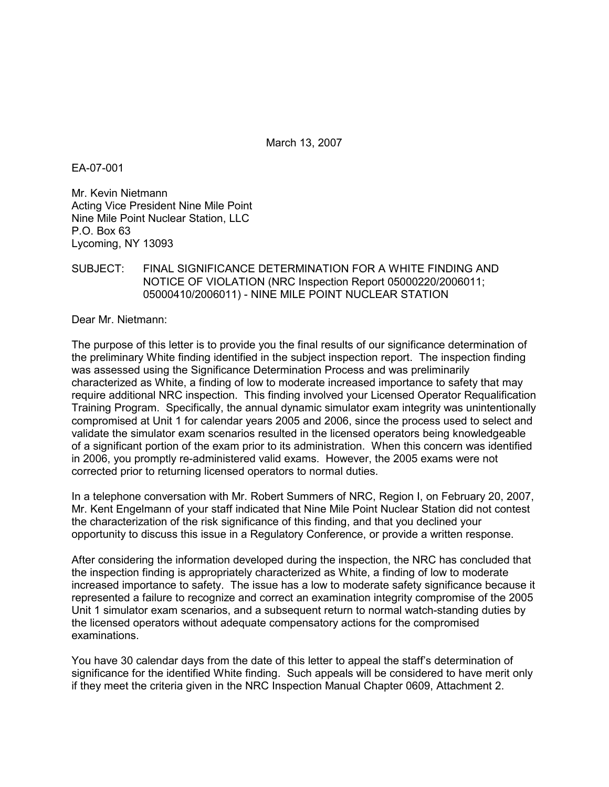March 13, 2007

EA-07-001

Mr. Kevin Nietmann Acting Vice President Nine Mile Point Nine Mile Point Nuclear Station, LLC P.O. Box 63 Lycoming, NY 13093

## SUBJECT: FINAL SIGNIFICANCE DETERMINATION FOR A WHITE FINDING AND NOTICE OF VIOLATION (NRC Inspection Report 05000220/2006011; 05000410/2006011) - NINE MILE POINT NUCLEAR STATION

Dear Mr. Nietmann:

The purpose of this letter is to provide you the final results of our significance determination of the preliminary White finding identified in the subject inspection report. The inspection finding was assessed using the Significance Determination Process and was preliminarily characterized as White, a finding of low to moderate increased importance to safety that may require additional NRC inspection. This finding involved your Licensed Operator Requalification Training Program. Specifically, the annual dynamic simulator exam integrity was unintentionally compromised at Unit 1 for calendar years 2005 and 2006, since the process used to select and validate the simulator exam scenarios resulted in the licensed operators being knowledgeable of a significant portion of the exam prior to its administration. When this concern was identified in 2006, you promptly re-administered valid exams. However, the 2005 exams were not corrected prior to returning licensed operators to normal duties.

In a telephone conversation with Mr. Robert Summers of NRC, Region I, on February 20, 2007, Mr. Kent Engelmann of your staff indicated that Nine Mile Point Nuclear Station did not contest the characterization of the risk significance of this finding, and that you declined your opportunity to discuss this issue in a Regulatory Conference, or provide a written response.

After considering the information developed during the inspection, the NRC has concluded that the inspection finding is appropriately characterized as White, a finding of low to moderate increased importance to safety. The issue has a low to moderate safety significance because it represented a failure to recognize and correct an examination integrity compromise of the 2005 Unit 1 simulator exam scenarios, and a subsequent return to normal watch-standing duties by the licensed operators without adequate compensatory actions for the compromised examinations.

You have 30 calendar days from the date of this letter to appeal the staff's determination of significance for the identified White finding. Such appeals will be considered to have merit only if they meet the criteria given in the NRC Inspection Manual Chapter 0609, Attachment 2.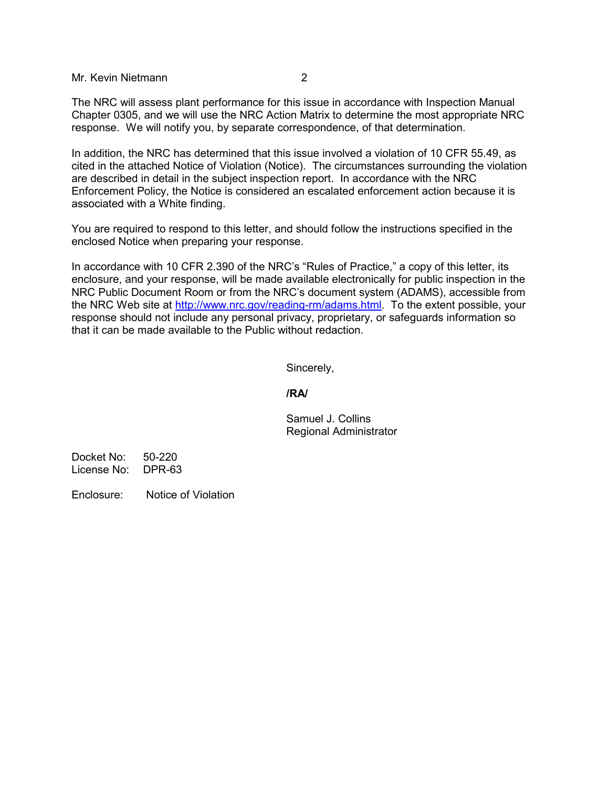Mr. Kevin Nietmann 2

The NRC will assess plant performance for this issue in accordance with Inspection Manual Chapter 0305, and we will use the NRC Action Matrix to determine the most appropriate NRC response. We will notify you, by separate correspondence, of that determination.

In addition, the NRC has determined that this issue involved a violation of 10 CFR 55.49, as cited in the attached Notice of Violation (Notice). The circumstances surrounding the violation are described in detail in the subject inspection report. In accordance with the NRC Enforcement Policy, the Notice is considered an escalated enforcement action because it is associated with a White finding.

You are required to respond to this letter, and should follow the instructions specified in the enclosed Notice when preparing your response.

In accordance with 10 CFR 2.390 of the NRC's "Rules of Practice," a copy of this letter, its enclosure, and your response, will be made available electronically for public inspection in the NRC Public Document Room or from the NRC's document system (ADAMS), accessible from the NRC Web site at http://www.nrc.gov/reading-rm/adams.html. To the extent possible, your response should not include any personal privacy, proprietary, or safeguards information so that it can be made available to the Public without redaction.

Sincerely,

**/RA/**

Samuel J. Collins Regional Administrator

Docket No: 50-220 License No: DPR-63

Enclosure: Notice of Violation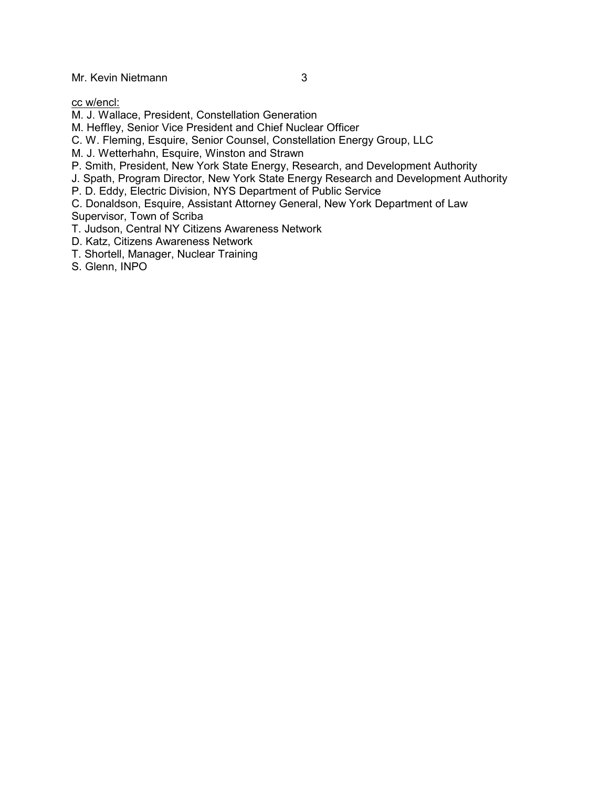Mr. Kevin Nietmann 3

cc w/encl:

- M. J. Wallace, President, Constellation Generation
- M. Heffley, Senior Vice President and Chief Nuclear Officer
- C. W. Fleming, Esquire, Senior Counsel, Constellation Energy Group, LLC
- M. J. Wetterhahn, Esquire, Winston and Strawn
- P. Smith, President, New York State Energy, Research, and Development Authority
- J. Spath, Program Director, New York State Energy Research and Development Authority
- P. D. Eddy, Electric Division, NYS Department of Public Service
- C. Donaldson, Esquire, Assistant Attorney General, New York Department of Law

Supervisor, Town of Scriba

- T. Judson, Central NY Citizens Awareness Network
- D. Katz, Citizens Awareness Network
- T. Shortell, Manager, Nuclear Training
- S. Glenn, INPO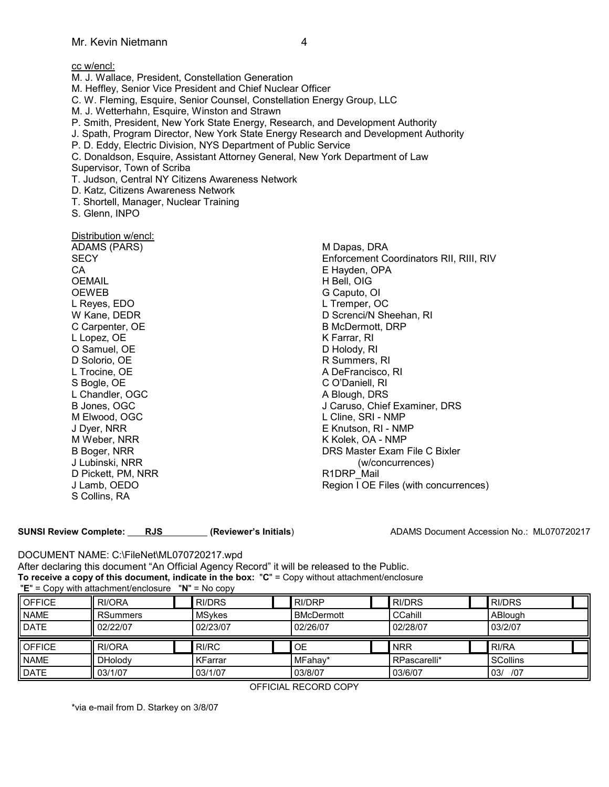## cc w/encl:

M. J. Wallace, President, Constellation Generation

M. Heffley, Senior Vice President and Chief Nuclear Officer

C. W. Fleming, Esquire, Senior Counsel, Constellation Energy Group, LLC

- M. J. Wetterhahn, Esquire, Winston and Strawn
- P. Smith, President, New York State Energy, Research, and Development Authority
- J. Spath, Program Director, New York State Energy Research and Development Authority
- P. D. Eddy, Electric Division, NYS Department of Public Service

C. Donaldson, Esquire, Assistant Attorney General, New York Department of Law

Supervisor, Town of Scriba

- T. Judson, Central NY Citizens Awareness Network
- D. Katz, Citizens Awareness Network
- T. Shortell, Manager, Nuclear Training
- S. Glenn, INPO

Distribution w/encl:

| DISTINGUIDED WEITCH |                                         |
|---------------------|-----------------------------------------|
| ADAMS (PARS)        | M Dapas, DRA                            |
| <b>SECY</b>         | Enforcement Coordinators RII, RIII, RIV |
| CA.                 | E Hayden, OPA                           |
| <b>OEMAIL</b>       | H Bell, OIG                             |
| <b>OEWEB</b>        | G Caputo, OI                            |
| L Reyes, EDO        | L Tremper, OC                           |
| W Kane, DEDR        | D Screnci/N Sheehan, RI                 |
| C Carpenter, OE     | B McDermott, DRP                        |
| L Lopez, OE         | K Farrar, RI                            |
| O Samuel, OE        | D Holody, RI                            |
| D Solorio, OE       | R Summers, RI                           |
| L Trocine, OE       | A DeFrancisco, RI                       |
| S Bogle, OE         | C O'Daniell, RI                         |
| L Chandler, OGC     | A Blough, DRS                           |
| B Jones, OGC        | J Caruso, Chief Examiner, DRS           |
| M Elwood, OGC       | L Cline, SRI - NMP                      |
| J Dyer, NRR         | E Knutson, RI - NMP                     |
| M Weber, NRR        | K Kolek, OA - NMP                       |
| B Boger, NRR        | DRS Master Exam File C Bixler           |
| J Lubinski, NRR     | (w/concurrences)                        |
| D Pickett, PM, NRR  | R1DRP Mail                              |
| J Lamb, OEDO        | Region I OE Files (with concurrences)   |
| S Collins, RA       |                                         |

**SUNSI Review Complete: RJS (Reviewer's Initials**) ADAMS Document Accession No.: ML070720217

# DOCUMENT NAME: C:\FileNet\ML070720217.wpd

After declaring this document "An Official Agency Record" it will be released to the Public. **To receive a copy of this document, indicate in the box:** "**C**" = Copy without attachment/enclosure "**E**" = Copy with attachment/enclosure "**N**" = No copy

| <b>OFFICE</b> | RI/ORA          | <b>RI/DRS</b> | <b>RI/DRP</b>     | <b>RI/DRS</b> | <b>RI/DRS</b>   |  |
|---------------|-----------------|---------------|-------------------|---------------|-----------------|--|
| <b>NAME</b>   | <b>RSummers</b> | <b>MSvkes</b> | <b>BMcDermott</b> | CCahill       | ABlough         |  |
| <b>DATE</b>   | 02/22/07        | 02/23/07      | 02/26/07          | 02/28/07      | 03/2/07         |  |
|               |                 |               |                   |               |                 |  |
| <b>OFFICE</b> | RI/ORA          | RI/RC         | <b>OE</b>         | <b>NRR</b>    | RI/RA           |  |
| <b>NAME</b>   | DHolody         | KFarrar       | MFahay*           | RPascarelli*  | <b>SCollins</b> |  |

OFFICIAL RECORD COPY

\*via e-mail from D. Starkey on 3/8/07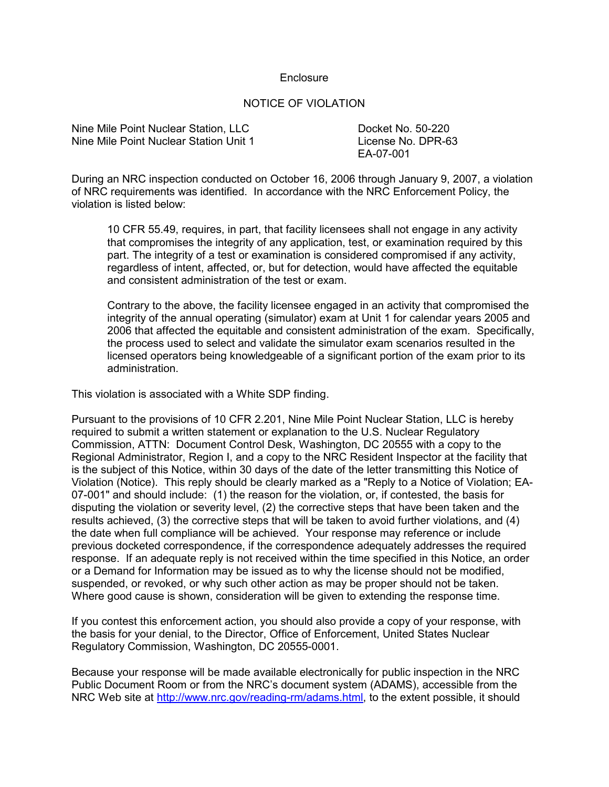### **Enclosure**

#### NOTICE OF VIOLATION

Nine Mile Point Nuclear Station, LLC Docket No. 50-220 Nine Mile Point Nuclear Station Unit 1 License No. DPR-63

EA-07-001

During an NRC inspection conducted on October 16, 2006 through January 9, 2007, a violation of NRC requirements was identified. In accordance with the NRC Enforcement Policy, the violation is listed below:

10 CFR 55.49, requires, in part, that facility licensees shall not engage in any activity that compromises the integrity of any application, test, or examination required by this part. The integrity of a test or examination is considered compromised if any activity, regardless of intent, affected, or, but for detection, would have affected the equitable and consistent administration of the test or exam.

Contrary to the above, the facility licensee engaged in an activity that compromised the integrity of the annual operating (simulator) exam at Unit 1 for calendar years 2005 and 2006 that affected the equitable and consistent administration of the exam. Specifically, the process used to select and validate the simulator exam scenarios resulted in the licensed operators being knowledgeable of a significant portion of the exam prior to its administration.

This violation is associated with a White SDP finding.

Pursuant to the provisions of 10 CFR 2.201, Nine Mile Point Nuclear Station, LLC is hereby required to submit a written statement or explanation to the U.S. Nuclear Regulatory Commission, ATTN: Document Control Desk, Washington, DC 20555 with a copy to the Regional Administrator, Region I, and a copy to the NRC Resident Inspector at the facility that is the subject of this Notice, within 30 days of the date of the letter transmitting this Notice of Violation (Notice). This reply should be clearly marked as a "Reply to a Notice of Violation; EA-07-001" and should include: (1) the reason for the violation, or, if contested, the basis for disputing the violation or severity level, (2) the corrective steps that have been taken and the results achieved, (3) the corrective steps that will be taken to avoid further violations, and (4) the date when full compliance will be achieved. Your response may reference or include previous docketed correspondence, if the correspondence adequately addresses the required response. If an adequate reply is not received within the time specified in this Notice, an order or a Demand for Information may be issued as to why the license should not be modified, suspended, or revoked, or why such other action as may be proper should not be taken. Where good cause is shown, consideration will be given to extending the response time.

If you contest this enforcement action, you should also provide a copy of your response, with the basis for your denial, to the Director, Office of Enforcement, United States Nuclear Regulatory Commission, Washington, DC 20555-0001.

Because your response will be made available electronically for public inspection in the NRC Public Document Room or from the NRC's document system (ADAMS), accessible from the NRC Web site at http://www.nrc.gov/reading-rm/adams.html, to the extent possible, it should